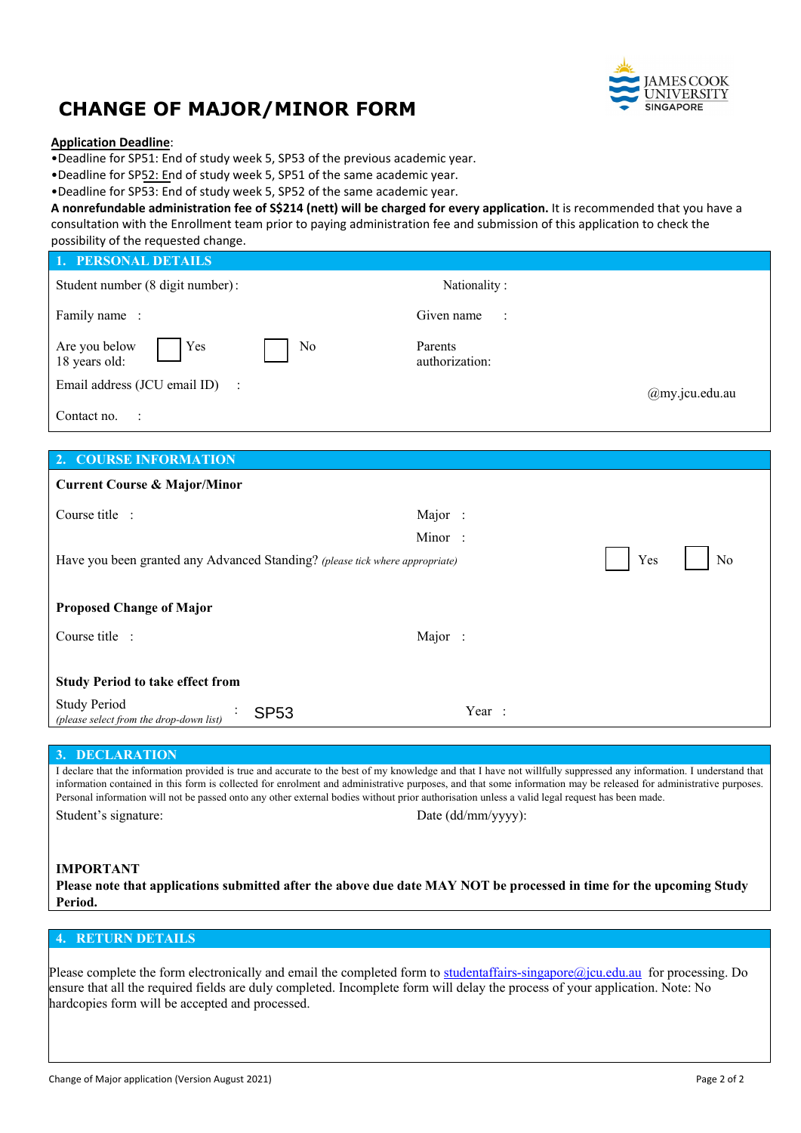

# **CHANGE OF MAJOR/MINOR FORM**

### **Application Deadline**:

•Deadline for SP51: End of study week 5, SP53 of the previous academic year.

•Deadline for SP52: End of study week 5, SP51 of the same academic year.

•Deadline for SP53: End of study week 5, SP52 of the same academic year.

**A nonrefundable administration fee of S\$214 (nett) will be charged for every application.** It is recommended that you have a consultation with the Enrollment team prior to paying administration fee and submission of this application to check the possibility of the requested change.

| Nationality:                                                                              |
|-------------------------------------------------------------------------------------------|
| Given name<br>$\mathbb{R}^2$                                                              |
| Parents<br>authorization:                                                                 |
| @my.jcu.edu.au                                                                            |
|                                                                                           |
|                                                                                           |
|                                                                                           |
|                                                                                           |
| Major:                                                                                    |
| Minor:                                                                                    |
| Yes<br>Have you been granted any Advanced Standing? (please tick where appropriate)<br>No |
|                                                                                           |

| <b>Proposed Change of Major</b>                                               |        |
|-------------------------------------------------------------------------------|--------|
| Course title :                                                                | Major: |
|                                                                               |        |
| <b>Study Period to take effect from</b>                                       |        |
| <b>Study Period</b><br><b>SP53</b><br>(please select from the drop-down list) | Year:  |

#### **3. DECLARATION**

I declare that the information provided is true and accurate to the best of my knowledge and that I have not willfully suppressed any information. I understand that information contained in this form is collected for enrolment and administrative purposes, and that some information may be released for administrative purposes. Personal information will not be passed onto any other external bodies without prior authorisation unless a valid legal request has been made. Student's signature: Date (dd/mm/yyyy):

## **IMPORTANT**

**Please note that applications submitted after the above due date MAY NOT be processed in time for the upcoming Study Period.**

# **4. RETURN DETAILS**

Please complete the form electronically and email the completed form to studentaffairs-singapore $\omega$ jcu.edu.au for processing. Do ensure that all the required fields are duly completed. Incomplete form will delay the process of your application. Note: No hardcopies form will be accepted and processed.